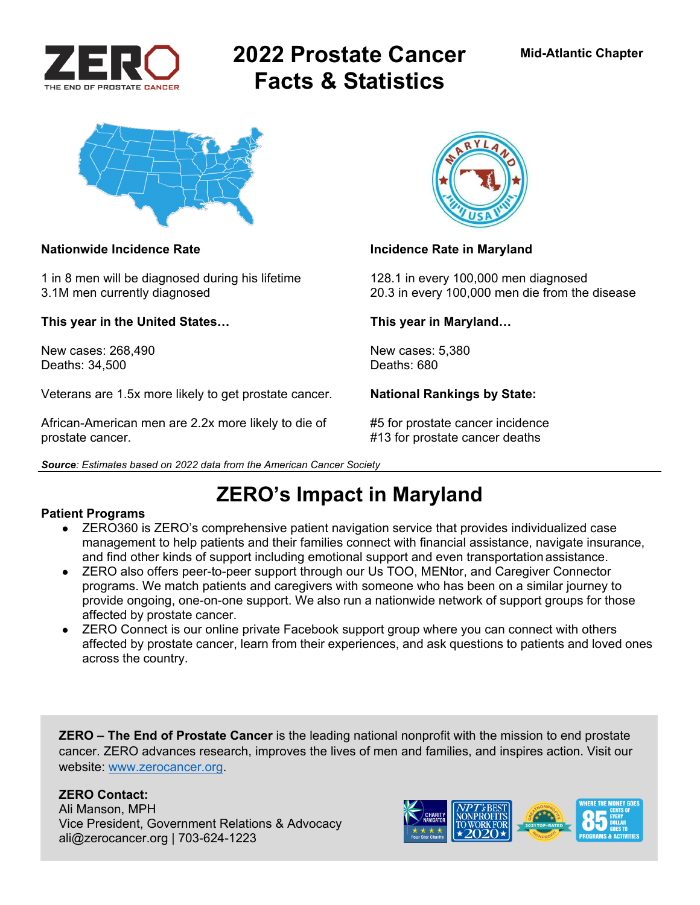

# **2022 Prostate Cancer Facts & Statistics**



1 in 8 men will be diagnosed during his lifetime 128.1 in every 100,000 men diagnosed

**This year in the United States… This year in Maryland…** 

New cases: 268,490 New cases: 5,380<br>Deaths: 34.500 Deaths: 680 Deaths: 34,500

Veterans are 1.5x more likely to get prostate cancer. **National Rankings by State:** 

African-American men are 2.2x more likely to die of #5 for prostate cancer incidence prostate cancer. #13 for prostate cancer deaths

*Source: Estimates based on 2022 data from the American Cancer Society* 



### Nationwide Incidence Rate **Incidence Rate in Maryland**

3.1M men currently diagnosed 20.3 in every 100,000 men die from the disease

## **ZERO's Impact in Maryland**

### **Patient Programs**

- ZERO360 is ZERO's comprehensive patient navigation service that provides individualized case management to help patients and their families connect with financial assistance, navigate insurance, and find other kinds of support including emotional support and even transportation assistance.
- ZERO also offers peer-to-peer support through our Us TOO, MENtor, and Caregiver Connector programs. We match patients and caregivers with someone who has been on a similar journey to provide ongoing, one-on-one support. We also run a nationwide network of support groups for those affected by prostate cancer.
- ZERO Connect is our online private Facebook support group where you can connect with others affected by prostate cancer, learn from their experiences, and ask questions to patients and loved ones across the country.

**ZERO – The End of Prostate Cancer** is the leading national nonprofit with the mission to end prostate cancer. ZERO advances research, improves the lives of men and families, and inspires action. Visit our website: www.zerocancer.org.

### **ZERO Contact:**

Ali Manson, MPH Vice President, Government Relations & Advocacy ali@zerocancer.org | 703-624-1223